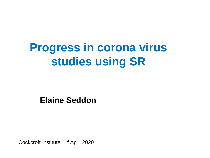# **Progress in corona virus studies using SR**

**Elaine Seddon**

Cockcroft Institute, 1st April 2020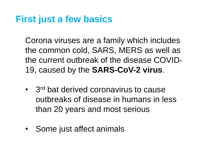# **First just a few basics**

Corona viruses are a family which includes the common cold, SARS, MERS as well as the current outbreak of the disease COVID-19, caused by the **SARS-CoV-2 virus**.

- 3<sup>rd</sup> bat derived coronavirus to cause outbreaks of disease in humans in less than 20 years and most serious
- Some just affect animals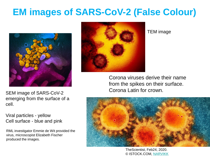# **EM images of SARS-CoV-2 (False Colour)**





#### TEM image

Corona viruses derive their name from the spikes on their surface. Corona Latin for crown.



TheScientist, Feb24, 2020. © ISTOCK.COM, [NARVIKK](https://www.istockphoto.com/photo/coronavirus-covid-19-gm1206405721-347929159)

SEM image of SARS-CoV-2 emerging from the surface of a cell.

Viral particles - yellow Cell surface - blue and pink

RML investigator Emmie de Wit provided the virus, microscopist Elizabeth Fischer produced the images.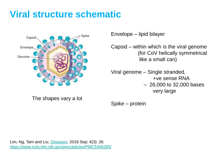# **Viral structure schematic**



Envelope – lipid bilayer

Capsid – within which is the viral genome (for CoV helically symmetrical like a small can)

Viral genome – Single stranded, +ve sense RNA – 26,000 to 32,000 bases very large

The shapes vary a lot

Spike – protein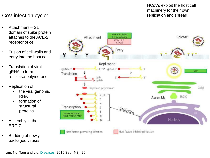#### CoV infection cycle:

- Attachment S1 domain of spike protein attaches to the ACE-2 receptor of cell
- Fusion of cell walls and entry into the host cell
- Translation of viral gRNA to form replicase-polymerase
- **Replication of** 
	- the viral genomic RNA
	- formation of structural proteins
- Assembly in the ERGIC
- Budding of newly packaged viruses



HCoVs exploit the host cell machinery for their own replication and spread.

Lim, Ng, Tam and Liu, [Diseases.](https://www.ncbi.nlm.nih.gov/pmc/articles/PMC5456285/) 2016 Sep; 4(3): 26.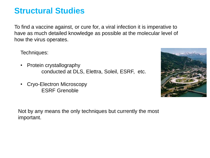### **Structural Studies**

To find a vaccine against, or cure for, a viral infection it is imperative to have as much detailed knowledge as possible at the molecular level of how the virus operates.

Techniques:

- Protein crystallography conducted at DLS, Elettra, Soleil, ESRF, etc.
- Cryo-Electron Microscopy ESRF Grenoble



Not by any means the only techniques but currently the most important.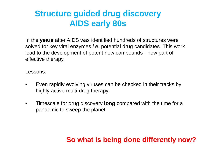### **Structure guided drug discovery AIDS early 80s**

In the **years** after AIDS was identified hundreds of structures were solved for key viral enzymes *i.e.* potential drug candidates. This work lead to the development of potent new compounds - now part of effective therapy.

Lessons:

- Even rapidly evolving viruses can be checked in their tracks by highly active multi-drug therapy.
- Timescale for drug discovery **long** compared with the time for a pandemic to sweep the planet.

#### **So what is being done differently now?**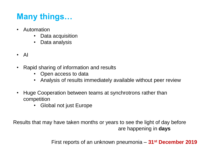# **Many things…**

- Automation
	- Data acquisition
	- Data analysis
- AI
- Rapid sharing of information and results
	- Open access to data
	- Analysis of results immediately available without peer review
- Huge Cooperation between teams at synchrotrons rather than competition
	- Global not just Europe

Results that may have taken months or years to see the light of day before are happening in **days**

First reports of an unknown pneumonia – **31st December 2019**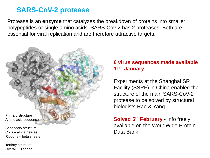#### **SARS-CoV-2 protease**

Protease is an **enzyme** that catalyzes the breakdown of proteins into smaller polypeptides or single amino acids. SARS-Cov-2 has 2 proteases. Both are essential for viral replication and are therefore attractive targets.



Secondary structure Coils – alpha helices Ribbons – beta sheets

Tertiary structure Overall 3D shape

#### **6 virus sequences made available 11th January**

Experiments at the Shanghai SR Facility (SSRF) in China enabled the structure of the main SARS-CoV-2 protease to be solved by structural biologists Rao & Yang.

**Solved 5th February** - Info freely available on the WorldWide Protein Data Bank.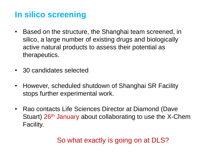### **In silico screening**

- Based on the structure, the Shanghai team screened, in silico, a large number of existing drugs and biologically active natural products to assess their potential as therapeutics.
- 30 candidates selected
- However, scheduled shutdown of Shanghai SR Facility stops further experimental work.
- Rao contacts Life Sciences Director at Diamond (Dave Stuart) 26<sup>th</sup> January about collaborating to use the X-Chem Facility.

### So what exactly is going on at DLS?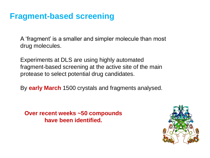### **Fragment-based screening**

A 'fragment' is a smaller and simpler molecule than most drug molecules.

Experiments at DLS are using highly automated fragment-based screening at the active site of the main protease to select potential drug candidates.

By **early March** 1500 crystals and fragments analysed.

**Over recent weeks ~50 compounds have been identified.**

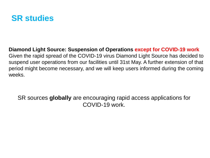

#### **Diamond Light Source: Suspension of Operations except for COVID-19 work** Given the rapid spread of the COVID-19 virus Diamond Light Source has decided to suspend user operations from our facilities until 31st May. A further extension of that period might become necessary, and we will keep users informed during the coming weeks.

SR sources **globally** are encouraging rapid access applications for COVID-19 work.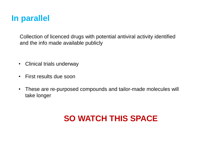### **In parallel**

Collection of licenced drugs with potential antiviral activity identified and the info made available publicly

- Clinical trials underway
- First results due soon
- These are re-purposed compounds and tailor-made molecules will take longer

# **SO WATCH THIS SPACE**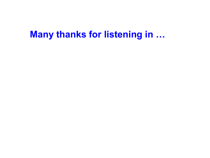# **Many thanks for listening in …**